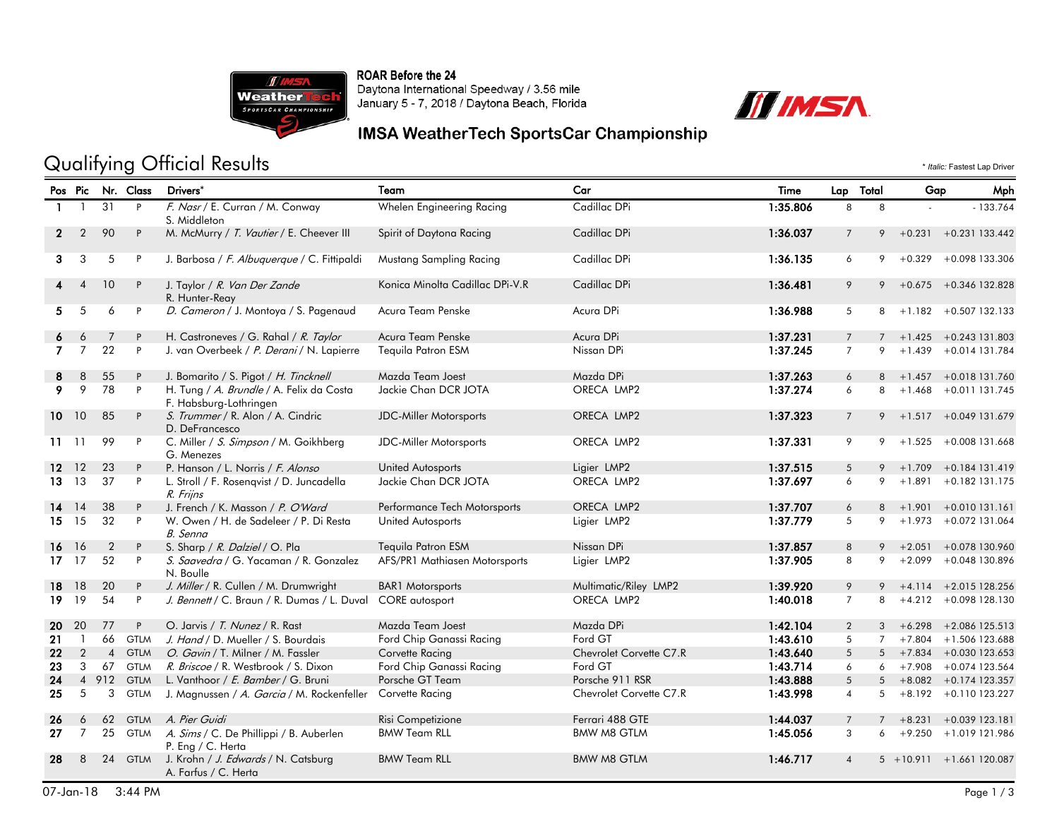

ROAR Before the 24 Daytona International Speedway / 3.56 mile January 5 - 7, 2018 / Daytona Beach, Florida



### IMSA WeatherTech SportsCar Championship

# Qualifying Official Results  $\cdot$  *Italic:* Fastest Lap Driver

|                 |                |                | Pos Pic Nr. Class | Drivers*                                                           | Team                            | Car                     | Time     | Lap .           | Total          | Gap          | Mph                        |
|-----------------|----------------|----------------|-------------------|--------------------------------------------------------------------|---------------------------------|-------------------------|----------|-----------------|----------------|--------------|----------------------------|
|                 | - 1            | 31             | P                 | F. Nasr / E. Curran / M. Conway<br>S. Middleton                    | Whelen Engineering Racing       | Cadillac DPi            | 1:35.806 | 8               | 8              |              | $-133.764$                 |
| $\mathbf{2}$    | $\overline{2}$ | 90             | P                 | M. McMurry / T. Vautier / E. Cheever III                           | Spirit of Daytona Racing        | Cadillac DPi            | 1:36.037 | $\overline{7}$  | 9              | $+0.231$     | $+0.231$ 133.442           |
| 3               | 3              | 5              | P                 | J. Barbosa / F. Albuguergue / C. Fittipaldi                        | Mustang Sampling Racing         | Cadillac DPi            | 1:36.135 | 6               | 9              | $+0.329$     | +0.098 133.306             |
|                 | $\overline{4}$ | 10             | P                 | J. Taylor / R. Van Der Zande<br>R. Hunter-Reay                     | Konica Minolta Cadillac DPi-V.R | Cadillac DPi            | 1:36.481 | 9               | 9              | $+0.675$     | +0.346 132.828             |
| 5.              | 5              | 6              | P                 | D. Cameron / J. Montoya / S. Pagenaud                              | Acura Team Penske               | Acura DPi               | 1:36.988 | 5               | 8              |              | $+1.182 + 0.507132.133$    |
| 6               | 6              | 7              | P                 | H. Castroneves / G. Rahal / R. Taylor                              | Acura Team Penske               | Acura DPi               | 1:37.231 | $\overline{7}$  | $\overline{7}$ |              | $+1.425 + 0.243131.803$    |
| $\overline{7}$  | $\overline{7}$ | 22             | P                 | J. van Overbeek / P. Derani / N. Lapierre                          | <b>Tequila Patron ESM</b>       | Nissan DPi              | 1:37.245 | $\overline{7}$  | 9              |              | $+1.439 + 0.014131.784$    |
| 8               | 8              | 55             | P                 | J. Bomarito / S. Pigot / H. Tincknell                              | Mazda Team Joest                | Mazda DPi               | 1:37.263 | 6               |                |              | 8 +1.457 +0.018 131.760    |
| 9               | 9              | 78             | P.                | H. Tung / A. Brundle / A. Felix da Costa<br>F. Habsburg-Lothringen | Jackie Chan DCR JOTA            | ORECA LMP2              | 1:37.274 | 6               | 8              | $+1.468$     | +0.011 131.745             |
| $10 \t10$       |                | 85             | P                 | S. Trummer / R. Alon / A. Cindric<br>D. DeFrancesco                | JDC-Miller Motorsports          | ORECA LMP2              | 1:37.323 | $\overline{7}$  |                |              | $9 + 1.517 + 0.049131.679$ |
| $11 \quad 11$   |                | 99             | P                 | C. Miller / S. Simpson / M. Goikhberg<br>G. Menezes                | <b>JDC-Miller Motorsports</b>   | ORECA LMP2              | 1:37.331 | 9               | 9              |              | $+1.525 + 0.008131.668$    |
| 12 <sub>2</sub> | 12             | 23             | P                 | P. Hanson / L. Norris / F. Alonso                                  | United Autosports               | Ligier LMP2             | 1:37.515 | 5               | 9              | $+1.709$     | $+0.184$ 131.419           |
| 13              | 13             | 37             | P                 | L. Stroll / F. Rosenqvist / D. Juncadella<br>R. Frijns             | Jackie Chan DCR JOTA            | ORECA LMP2              | 1:37.697 | 6               | 9              | $+1.891$     | +0.182 131.175             |
| 14              | 14             | 38             | P                 | J. French / K. Masson / P. O'Ward                                  | Performance Tech Motorsports    | ORECA LMP2              | 1:37.707 | 6               | 8              | $+1.901$     | $+0.010131.161$            |
| 15              | 15             | 32             | P                 | W. Owen / H. de Sadeleer / P. Di Resta<br>B. Senna                 | United Autosports               | Ligier LMP2             | 1:37.779 | 5               | 9              | $+1.973$     | +0.072 131.064             |
| 16              | <b>16</b>      | $\overline{2}$ | P                 | S. Sharp / R. Dalziel / O. Pla                                     | Tequila Patron ESM              | Nissan DPi              | 1:37.857 | 8               | 9              | $+2.051$     | +0.078 130.960             |
| $17 \quad 17$   |                | 52             | P                 | S. Saavedra / G. Yacaman / R. Gonzalez<br>N. Boulle                | AFS/PR1 Mathiasen Motorsports   | Ligier LMP2             | 1:37.905 | 8               | 9              | $+2.099$     | +0.048 130.896             |
| 18 18           |                | 20             | P                 | J. Miller / R. Cullen / M. Drumwright                              | <b>BAR1</b> Motorsports         | Multimatic/Riley LMP2   | 1:39.920 | 9               | 9              |              | $+4.114 + 2.015128.256$    |
| 19.             | 19             | 54             | P                 | J. Bennett / C. Braun / R. Dumas / L. Duval                        | <b>CORE</b> autosport           | ORECA LMP2              | 1:40.018 | $\overline{7}$  | 8              |              | $+4.212 + 0.098128.130$    |
| 20              | 20             | 77             | P                 | O. Jarvis / T. Nunez / R. Rast                                     | Mazda Team Joest                | Mazda DPi               | 1:42.104 | $\overline{2}$  |                | $3 + 6.298$  | +2.086 125.513             |
| 21              | $\overline{1}$ | 66             | <b>GTLM</b>       | J. Hand / D. Mueller / S. Bourdais                                 | Ford Chip Ganassi Racing        | Ford GT                 | 1:43.610 | 5               | $7^{\circ}$    | $+7.804$     | +1.506 123.688             |
| 22              | 2              | $\overline{4}$ | <b>GTLM</b>       | O. Gavin / T. Milner / M. Fassler                                  | Corvette Racing                 | Chevrolet Corvette C7.R | 1:43.640 | 5               |                | $5 + 7.834$  | +0.030 123.653             |
| 23              | 3              | 67             | <b>GTLM</b>       | R. Briscoe / R. Westbrook / S. Dixon                               | Ford Chip Ganassi Racing        | Ford GT                 | 1:43.714 | 6               | 6              | $+7.908$     | +0.074 123.564             |
| 24              |                | 4 9 12         | <b>GTLM</b>       | L. Vanthoor / E. Bamber / G. Bruni                                 | Porsche GT Team                 | Porsche 911 RSR         | 1:43.888 | $5\phantom{.0}$ | 5              |              | $+8.082 + 0.174123.357$    |
| 25              | 5              | 3              | <b>GTLM</b>       | J. Magnussen / A. Garcia / M. Rockenfeller                         | Corvette Racing                 | Chevrolet Corvette C7.R | 1:43.998 | $\overline{4}$  |                |              | $5 + 8.192 + 0.110123.227$ |
| 26              | 6              | 62             | <b>GTLM</b>       | A. Pier Guidi                                                      | Risi Competizione               | Ferrari 488 GTE         | 1:44.037 | $\overline{7}$  | $\overline{7}$ | $+8.231$     | $+0.039$ 123.181           |
| 27              | $\overline{7}$ | 25             |                   | GTLM A. Sims / C. De Phillippi / B. Auberlen<br>P. Eng / C. Herta  | <b>BMW Team RLL</b>             | <b>BMW M8 GTLM</b>      | 1:45.056 | 3               | 6              |              | +9.250 +1.019 121.986      |
| 28              | 8              | 24             | <b>GTLM</b>       | J. Krohn / J. Edwards / N. Catsburg<br>A. Farfus / C. Herta        | <b>BMW Team RLL</b>             | <b>BMW M8 GTLM</b>      | 1:46.717 | $\overline{4}$  |                | $5 + 10.911$ | +1.661 120.087             |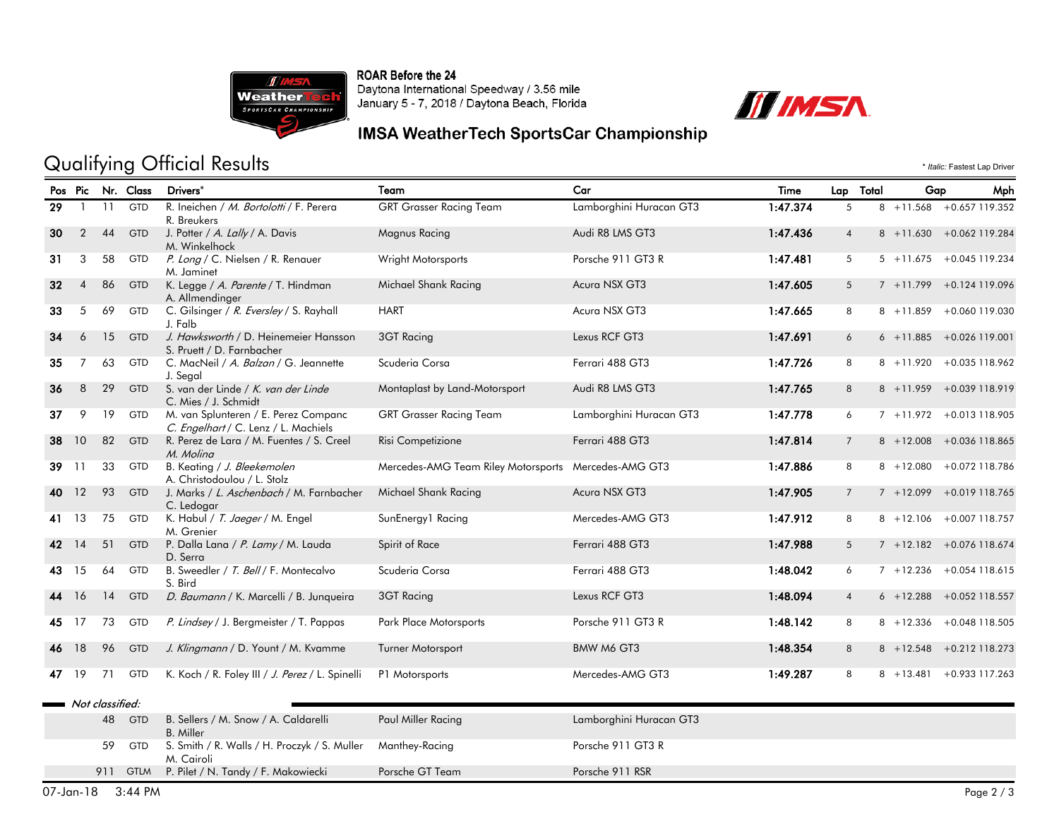

ROAR Before the 24 Daytona International Speedway / 3.56 mile<br>January 5 - 7, 2018 / Daytona Beach, Florida



### IMSA WeatherTech SportsCar Championship

# Qualifying Official Results  $\cdot$  *Italic:* Fastest Lap Driver

|     |                |                 | Pos Pic Nr. Class | Drivers*                                                                     | Team                                                 | Car                     | Time     | Lap Total      | Gap          | Mph                         |
|-----|----------------|-----------------|-------------------|------------------------------------------------------------------------------|------------------------------------------------------|-------------------------|----------|----------------|--------------|-----------------------------|
| 29  | $\mathbf{1}$   | 11              | GTD               | R. Ineichen / M. Bortolotti / F. Perera<br>R. Breukers                       | <b>GRT Grasser Racing Team</b>                       | Lamborghini Huracan GT3 | 1:47.374 | 5              |              | 8 +11.568 +0.657 119.352    |
| 30  | $\overline{2}$ | 44              | <b>GTD</b>        | J. Potter / A. Lally / A. Davis<br>M. Winkelhock                             | Magnus Racing                                        | Audi R8 LMS GT3         | 1:47.436 | 4              |              | 8 +11.630 +0.062 119.284    |
| 31  | 3              | 58              | GTD               | P. Long / C. Nielsen / R. Renauer<br>M. Jaminet                              | Wright Motorsports                                   | Porsche 911 GT3 R       | 1:47.481 | 5              |              | 5 +11.675 +0.045 119.234    |
| 32  | $\overline{4}$ | 86              | <b>GTD</b>        | K. Legge / A. Parente / T. Hindman<br>A. Allmendinger                        | Michael Shank Racing                                 | Acura NSX GT3           | 1:47.605 | 5              |              | 7 +11.799 +0.124 119.096    |
| 33  | 5              | 69              | GTD               | C. Gilsinger / R. Eversley / S. Rayhall<br>J. Falb                           | <b>HART</b>                                          | Acura NSX GT3           | 1:47.665 | 8              | $8 + 11.859$ | +0.060 119.030              |
| 34  | 6              | 15              | <b>GTD</b>        | J. Hawksworth / D. Heinemeier Hansson<br>S. Pruett / D. Farnbacher           | 3GT Racing                                           | Lexus RCF GT3           | 1:47.691 | 6              |              | $6 + 11.885 + 0.026119.001$ |
| 35  | $\overline{7}$ | 63              | <b>GTD</b>        | C. MacNeil / A. Balzan / G. Jeannette<br>J. Segal                            | Scuderia Corsa                                       | Ferrari 488 GT3         | 1:47.726 | 8              |              | 8 +11.920 +0.035 118.962    |
| 36  | 8              | 29              | <b>GTD</b>        | S. van der Linde / K. van der Linde<br>C. Mies / J. Schmidt                  | Montaplast by Land-Motorsport                        | Audi R8 LMS GT3         | 1:47.765 | 8              |              | 8 +11.959 +0.039 118.919    |
| 37  | 9              | 19              | <b>GTD</b>        | M. van Splunteren / E. Perez Companc<br>C. Engelhart / C. Lenz / L. Machiels | <b>GRT Grasser Racing Team</b>                       | Lamborghini Huracan GT3 | 1:47.778 | 6              |              | 7 +11.972 +0.013 118.905    |
| 38  | 10             | 82              | <b>GTD</b>        | R. Perez de Lara / M. Fuentes / S. Creel<br>M. Molina                        | Risi Competizione                                    | Ferrari 488 GT3         | 1:47.814 | $\overline{7}$ | $8 + 12.008$ | +0.036 118.865              |
| 39  | 11             | 33              | <b>GTD</b>        | B. Keating / J. Bleekemolen<br>A. Christodoulou / L. Stolz                   | Mercedes-AMG Team Riley Motorsports Mercedes-AMG GT3 |                         | 1:47.886 | 8              | $8 + 12.080$ | +0.072 118.786              |
| 40  | 12             | 93              | <b>GTD</b>        | J. Marks / L. Aschenbach / M. Farnbacher<br>C. Ledogar                       | Michael Shank Racing                                 | Acura NSX GT3           | 1:47.905 | $\overline{7}$ |              | 7 +12.099 +0.019 118.765    |
| 41. | 13             | 75              | <b>GTD</b>        | K. Habul / T. Jaeger / M. Engel<br>M. Grenier                                | SunEnergy1 Racing                                    | Mercedes-AMG GT3        | 1:47.912 | 8              |              | 8 +12,106 +0.007 118,757    |
| 42  | 14             | 51              | <b>GTD</b>        | P. Dalla Lana / P. Lamy / M. Lauda<br>D. Serra                               | Spirit of Race                                       | Ferrari 488 GT3         | 1:47.988 | 5              |              | $7 + 12.182 + 0.076118.674$ |
| 43  | 15             | 64              | GTD               | B. Sweedler / T. Bell / F. Montecalvo<br>S. Bird                             | Scuderia Corsa                                       | Ferrari 488 GT3         | 1:48.042 | 6              |              | $7 + 12.236 + 0.054118.615$ |
| 44  | <b>16</b>      | 14              | <b>GTD</b>        | D. Baumann / K. Marcelli / B. Junqueira                                      | 3GT Racing                                           | Lexus RCF GT3           | 1:48.094 | $\overline{4}$ | $6 + 12.288$ | +0.052 118.557              |
| 45  | 17             | 73              | <b>GTD</b>        | P. Lindsey / J. Bergmeister / T. Pappas                                      | Park Place Motorsports                               | Porsche 911 GT3 R       | 1:48.142 | 8              |              | 8 +12.336 +0.048 118.505    |
| 46  | 18             | 96              | <b>GTD</b>        | J. Klingmann / D. Yount / M. Kvamme                                          | Turner Motorsport                                    | BMW M6 GT3              | 1:48.354 | 8              |              | 8 +12.548 +0.212 118.273    |
| 47  | 19             | 71              | GTD               | K. Koch / R. Foley III / J. Perez / L. Spinelli                              | P1 Motorsports                                       | Mercedes-AMG GT3        | 1:49.287 | 8              |              | 8 +13.481 +0.933 117.263    |
|     |                | Not classified: |                   |                                                                              |                                                      |                         |          |                |              |                             |
|     |                | 48              | <b>GTD</b>        | B. Sellers / M. Snow / A. Caldarelli<br><b>B.</b> Miller                     | Paul Miller Racing                                   | Lamborghini Huracan GT3 |          |                |              |                             |
|     |                | 59              | GTD               | S. Smith / R. Walls / H. Proczyk / S. Muller<br>M. Cairoli                   | Manthey-Racing                                       | Porsche 911 GT3 R       |          |                |              |                             |
|     |                |                 | 911 GTLM          | P. Pilet / N. Tandy / F. Makowiecki                                          | Porsche GT Team                                      | Porsche 911 RSR         |          |                |              |                             |